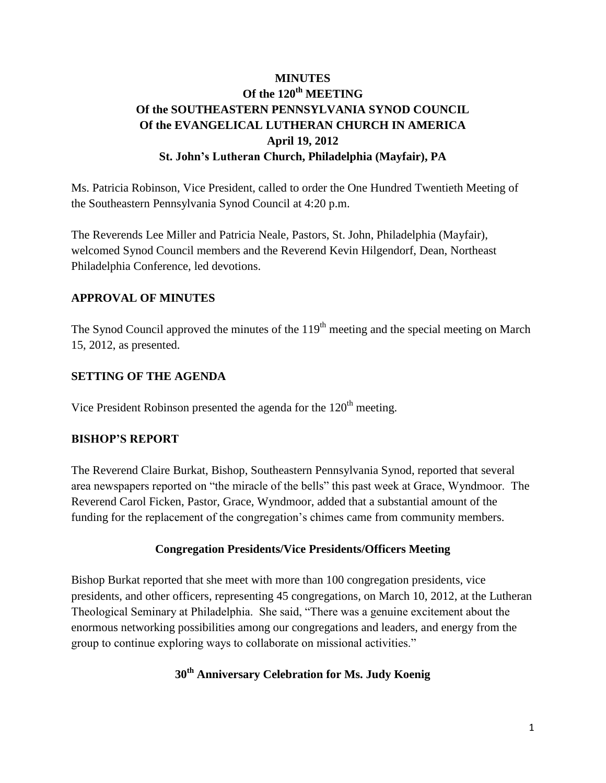# **MINUTES Of the 120th MEETING Of the SOUTHEASTERN PENNSYLVANIA SYNOD COUNCIL Of the EVANGELICAL LUTHERAN CHURCH IN AMERICA April 19, 2012 St. John's Lutheran Church, Philadelphia (Mayfair), PA**

Ms. Patricia Robinson, Vice President, called to order the One Hundred Twentieth Meeting of the Southeastern Pennsylvania Synod Council at 4:20 p.m.

The Reverends Lee Miller and Patricia Neale, Pastors, St. John, Philadelphia (Mayfair), welcomed Synod Council members and the Reverend Kevin Hilgendorf, Dean, Northeast Philadelphia Conference, led devotions.

## **APPROVAL OF MINUTES**

The Synod Council approved the minutes of the 119<sup>th</sup> meeting and the special meeting on March 15, 2012, as presented.

## **SETTING OF THE AGENDA**

Vice President Robinson presented the agenda for the  $120<sup>th</sup>$  meeting.

## **BISHOP'S REPORT**

The Reverend Claire Burkat, Bishop, Southeastern Pennsylvania Synod, reported that several area newspapers reported on "the miracle of the bells" this past week at Grace, Wyndmoor. The Reverend Carol Ficken, Pastor, Grace, Wyndmoor, added that a substantial amount of the funding for the replacement of the congregation's chimes came from community members.

## **Congregation Presidents/Vice Presidents/Officers Meeting**

Bishop Burkat reported that she meet with more than 100 congregation presidents, vice presidents, and other officers, representing 45 congregations, on March 10, 2012, at the Lutheran Theological Seminary at Philadelphia. She said, "There was a genuine excitement about the enormous networking possibilities among our congregations and leaders, and energy from the group to continue exploring ways to collaborate on missional activities."

# **30th Anniversary Celebration for Ms. Judy Koenig**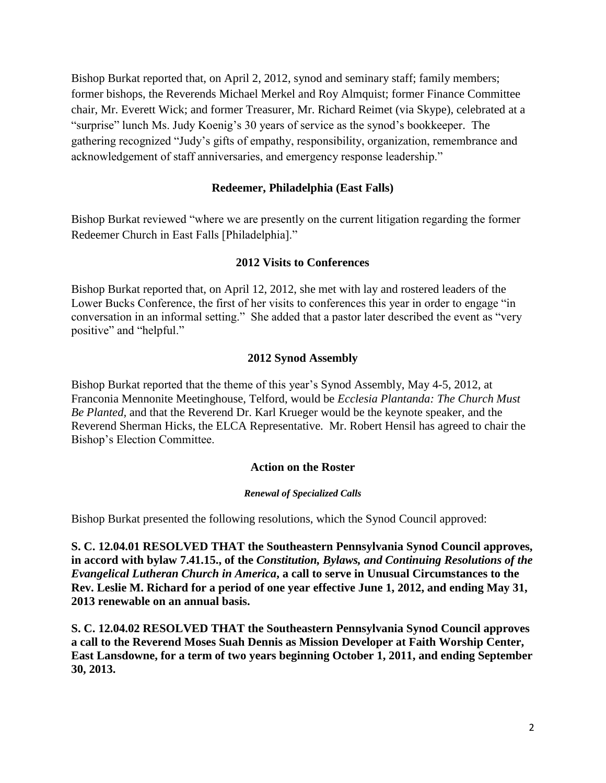Bishop Burkat reported that, on April 2, 2012, synod and seminary staff; family members; former bishops, the Reverends Michael Merkel and Roy Almquist; former Finance Committee chair, Mr. Everett Wick; and former Treasurer, Mr. Richard Reimet (via Skype), celebrated at a "surprise" lunch Ms. Judy Koenig's 30 years of service as the synod's bookkeeper. The gathering recognized "Judy's gifts of empathy, responsibility, organization, remembrance and acknowledgement of staff anniversaries, and emergency response leadership."

### **Redeemer, Philadelphia (East Falls)**

Bishop Burkat reviewed "where we are presently on the current litigation regarding the former Redeemer Church in East Falls [Philadelphia]."

#### **2012 Visits to Conferences**

Bishop Burkat reported that, on April 12, 2012, she met with lay and rostered leaders of the Lower Bucks Conference, the first of her visits to conferences this year in order to engage "in conversation in an informal setting." She added that a pastor later described the event as "very positive" and "helpful."

#### **2012 Synod Assembly**

Bishop Burkat reported that the theme of this year's Synod Assembly, May 4-5, 2012, at Franconia Mennonite Meetinghouse, Telford, would be *Ecclesia Plantanda: The Church Must Be Planted,* and that the Reverend Dr. Karl Krueger would be the keynote speaker, and the Reverend Sherman Hicks, the ELCA Representative. Mr. Robert Hensil has agreed to chair the Bishop's Election Committee.

#### **Action on the Roster**

#### *Renewal of Specialized Calls*

Bishop Burkat presented the following resolutions, which the Synod Council approved:

**S. C. 12.04.01 RESOLVED THAT the Southeastern Pennsylvania Synod Council approves, in accord with bylaw 7.41.15., of the** *Constitution, Bylaws, and Continuing Resolutions of the Evangelical Lutheran Church in America***, a call to serve in Unusual Circumstances to the Rev. Leslie M. Richard for a period of one year effective June 1, 2012, and ending May 31, 2013 renewable on an annual basis.** 

**S. C. 12.04.02 RESOLVED THAT the Southeastern Pennsylvania Synod Council approves a call to the Reverend Moses Suah Dennis as Mission Developer at Faith Worship Center, East Lansdowne, for a term of two years beginning October 1, 2011, and ending September 30, 2013.**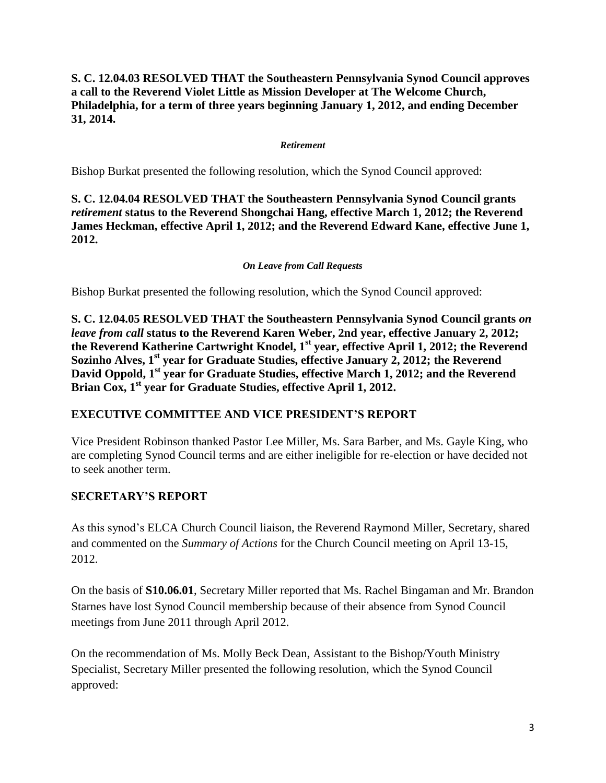## **S. C. 12.04.03 RESOLVED THAT the Southeastern Pennsylvania Synod Council approves a call to the Reverend Violet Little as Mission Developer at The Welcome Church, Philadelphia, for a term of three years beginning January 1, 2012, and ending December 31, 2014.**

#### *Retirement*

Bishop Burkat presented the following resolution, which the Synod Council approved:

## **S. C. 12.04.04 RESOLVED THAT the Southeastern Pennsylvania Synod Council grants**  *retirement* **status to the Reverend Shongchai Hang, effective March 1, 2012; the Reverend James Heckman, effective April 1, 2012; and the Reverend Edward Kane, effective June 1, 2012.**

### *On Leave from Call Requests*

Bishop Burkat presented the following resolution, which the Synod Council approved:

**S. C. 12.04.05 RESOLVED THAT the Southeastern Pennsylvania Synod Council grants** *on leave from call* **status to the Reverend Karen Weber, 2nd year, effective January 2, 2012; the Reverend Katherine Cartwright Knodel, 1st year, effective April 1, 2012; the Reverend Sozinho Alves, 1st year for Graduate Studies, effective January 2, 2012; the Reverend David Oppold, 1st year for Graduate Studies, effective March 1, 2012; and the Reverend Brian Cox, 1st year for Graduate Studies, effective April 1, 2012.**

## **EXECUTIVE COMMITTEE AND VICE PRESIDENT'S REPORT**

Vice President Robinson thanked Pastor Lee Miller, Ms. Sara Barber, and Ms. Gayle King, who are completing Synod Council terms and are either ineligible for re-election or have decided not to seek another term.

## **SECRETARY'S REPORT**

As this synod's ELCA Church Council liaison, the Reverend Raymond Miller, Secretary, shared and commented on the *Summary of Actions* for the Church Council meeting on April 13-15, 2012.

On the basis of **S10.06.01**, Secretary Miller reported that Ms. Rachel Bingaman and Mr. Brandon Starnes have lost Synod Council membership because of their absence from Synod Council meetings from June 2011 through April 2012.

On the recommendation of Ms. Molly Beck Dean, Assistant to the Bishop/Youth Ministry Specialist, Secretary Miller presented the following resolution, which the Synod Council approved: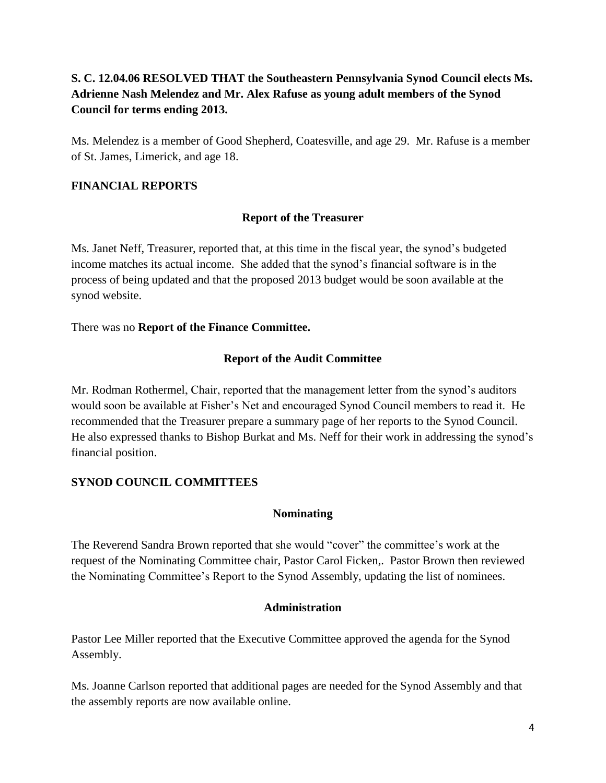## **S. C. 12.04.06 RESOLVED THAT the Southeastern Pennsylvania Synod Council elects Ms. Adrienne Nash Melendez and Mr. Alex Rafuse as young adult members of the Synod Council for terms ending 2013.**

Ms. Melendez is a member of Good Shepherd, Coatesville, and age 29. Mr. Rafuse is a member of St. James, Limerick, and age 18.

## **FINANCIAL REPORTS**

## **Report of the Treasurer**

Ms. Janet Neff, Treasurer, reported that, at this time in the fiscal year, the synod's budgeted income matches its actual income. She added that the synod's financial software is in the process of being updated and that the proposed 2013 budget would be soon available at the synod website.

There was no **Report of the Finance Committee.** 

## **Report of the Audit Committee**

Mr. Rodman Rothermel, Chair, reported that the management letter from the synod's auditors would soon be available at Fisher's Net and encouraged Synod Council members to read it. He recommended that the Treasurer prepare a summary page of her reports to the Synod Council. He also expressed thanks to Bishop Burkat and Ms. Neff for their work in addressing the synod's financial position.

## **SYNOD COUNCIL COMMITTEES**

## **Nominating**

The Reverend Sandra Brown reported that she would "cover" the committee's work at the request of the Nominating Committee chair, Pastor Carol Ficken,. Pastor Brown then reviewed the Nominating Committee's Report to the Synod Assembly, updating the list of nominees.

## **Administration**

Pastor Lee Miller reported that the Executive Committee approved the agenda for the Synod Assembly.

Ms. Joanne Carlson reported that additional pages are needed for the Synod Assembly and that the assembly reports are now available online.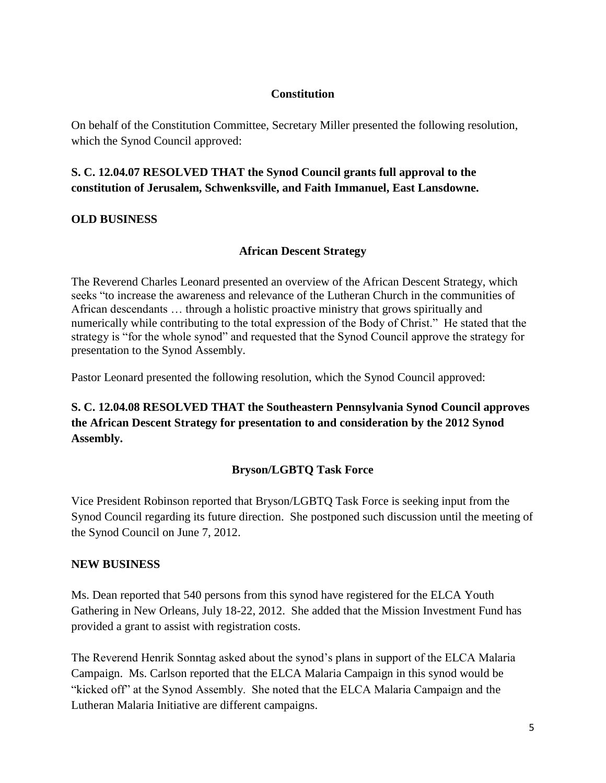### **Constitution**

On behalf of the Constitution Committee, Secretary Miller presented the following resolution, which the Synod Council approved:

## **S. C. 12.04.07 RESOLVED THAT the Synod Council grants full approval to the constitution of Jerusalem, Schwenksville, and Faith Immanuel, East Lansdowne.**

## **OLD BUSINESS**

## **African Descent Strategy**

The Reverend Charles Leonard presented an overview of the African Descent Strategy, which seeks "to increase the awareness and relevance of the Lutheran Church in the communities of African descendants … through a holistic proactive ministry that grows spiritually and numerically while contributing to the total expression of the Body of Christ." He stated that the strategy is "for the whole synod" and requested that the Synod Council approve the strategy for presentation to the Synod Assembly.

Pastor Leonard presented the following resolution, which the Synod Council approved:

# **S. C. 12.04.08 RESOLVED THAT the Southeastern Pennsylvania Synod Council approves the African Descent Strategy for presentation to and consideration by the 2012 Synod Assembly.**

## **Bryson/LGBTQ Task Force**

Vice President Robinson reported that Bryson/LGBTQ Task Force is seeking input from the Synod Council regarding its future direction. She postponed such discussion until the meeting of the Synod Council on June 7, 2012.

## **NEW BUSINESS**

Ms. Dean reported that 540 persons from this synod have registered for the ELCA Youth Gathering in New Orleans, July 18-22, 2012. She added that the Mission Investment Fund has provided a grant to assist with registration costs.

The Reverend Henrik Sonntag asked about the synod's plans in support of the ELCA Malaria Campaign. Ms. Carlson reported that the ELCA Malaria Campaign in this synod would be "kicked off" at the Synod Assembly. She noted that the ELCA Malaria Campaign and the Lutheran Malaria Initiative are different campaigns.